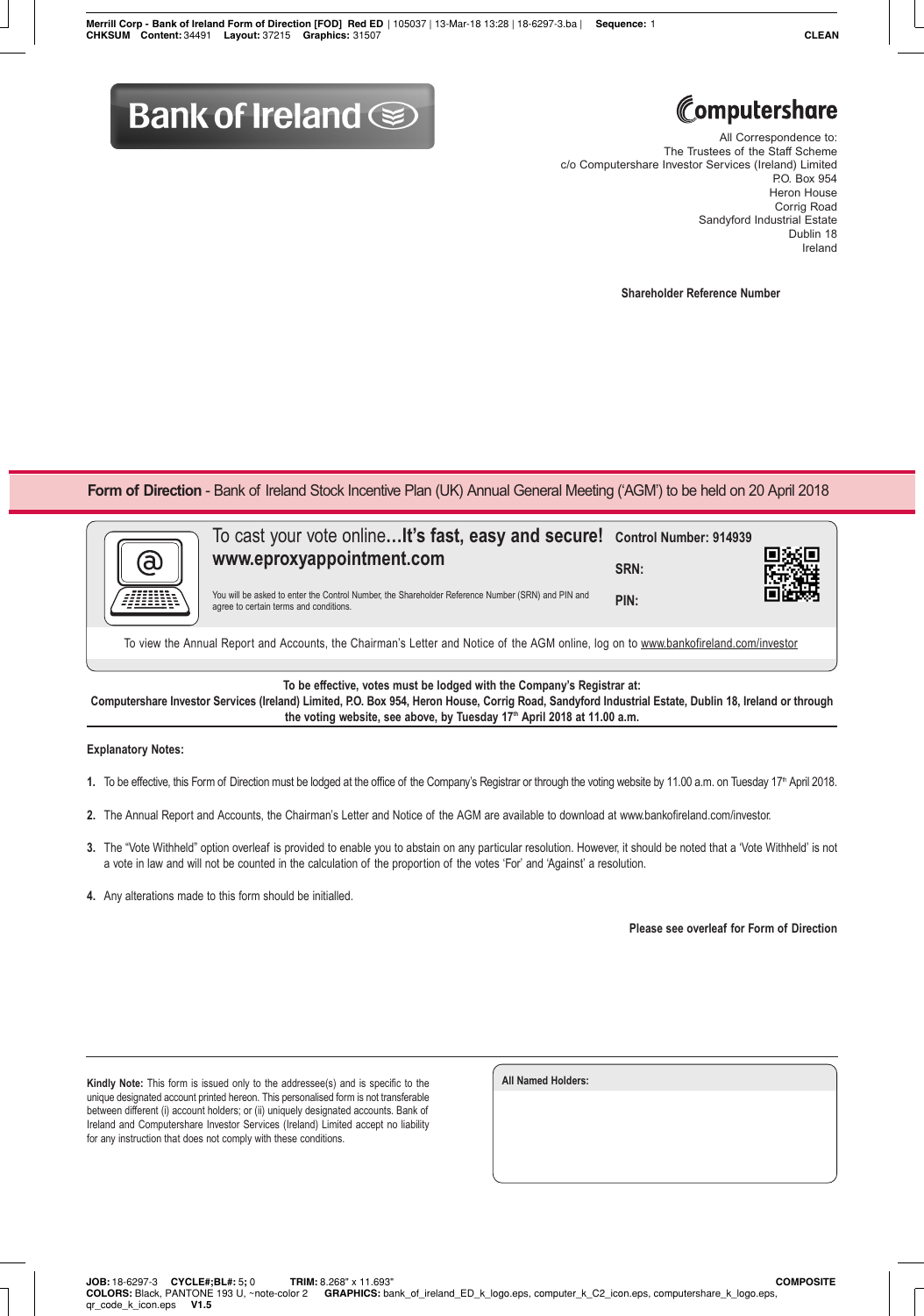## **Bank of Ireland Some**

## Computershare

All Correspondence to: The Trustees of the Staff Scheme c/o Computershare Investor Services (Ireland) Limited P.O. Box 954 Heron House Corrig Road Sandyford Industrial Estate Dublin 18 Ireland

**Shareholder Reference Number**

**Form of Direction** - Bank of Ireland Stock Incentive Plan (UK) Annual General Meeting ('AGM') to be held on 20 April 2018



To view the Annual Report and Accounts, the Chairman's Letter and Notice of the AGM online, log on to www.bankofireland.com/investor

**To be effective, votes must be lodged with the Company's Registrar at:**

**Computershare Investor Services (Ireland) Limited, P.O. Box 954, Heron House, Corrig Road, Sandyford Industrial Estate, Dublin 18, Ireland or through**  the voting website, see above, by Tuesday 17<sup>th</sup> April 2018 at 11.00 a.m.

## **Explanatory Notes:**

- 1. To be effective, this Form of Direction must be lodged at the office of the Company's Registrar or through the voting website by 11.00 a.m. on Tuesday 17<sup>th</sup> April 2018.
- **2.** The Annual Report and Accounts, the Chairman's Letter and Notice of the AGM are available to download at www.bankofireland.com/investor.
- **3.** The "Vote Withheld" option overleaf is provided to enable you to abstain on any particular resolution. However, it should be noted that a 'Vote Withheld' is not a vote in law and will not be counted in the calculation of the proportion of the votes 'For' and 'Against' a resolution.
- **4.** Any alterations made to this form should be initialled.

**Please see overleaf for Form of Direction**

**Kindly Note:** This form is issued only to the addressee(s) and is specific to the unique designated account printed hereon. This personalised form is not transferable between different (i) account holders; or (ii) uniquely designated accounts. Bank of Ireland and Computershare Investor Services (Ireland) Limited accept no liability for any instruction that does not comply with these conditions.

**All Named Holders:**